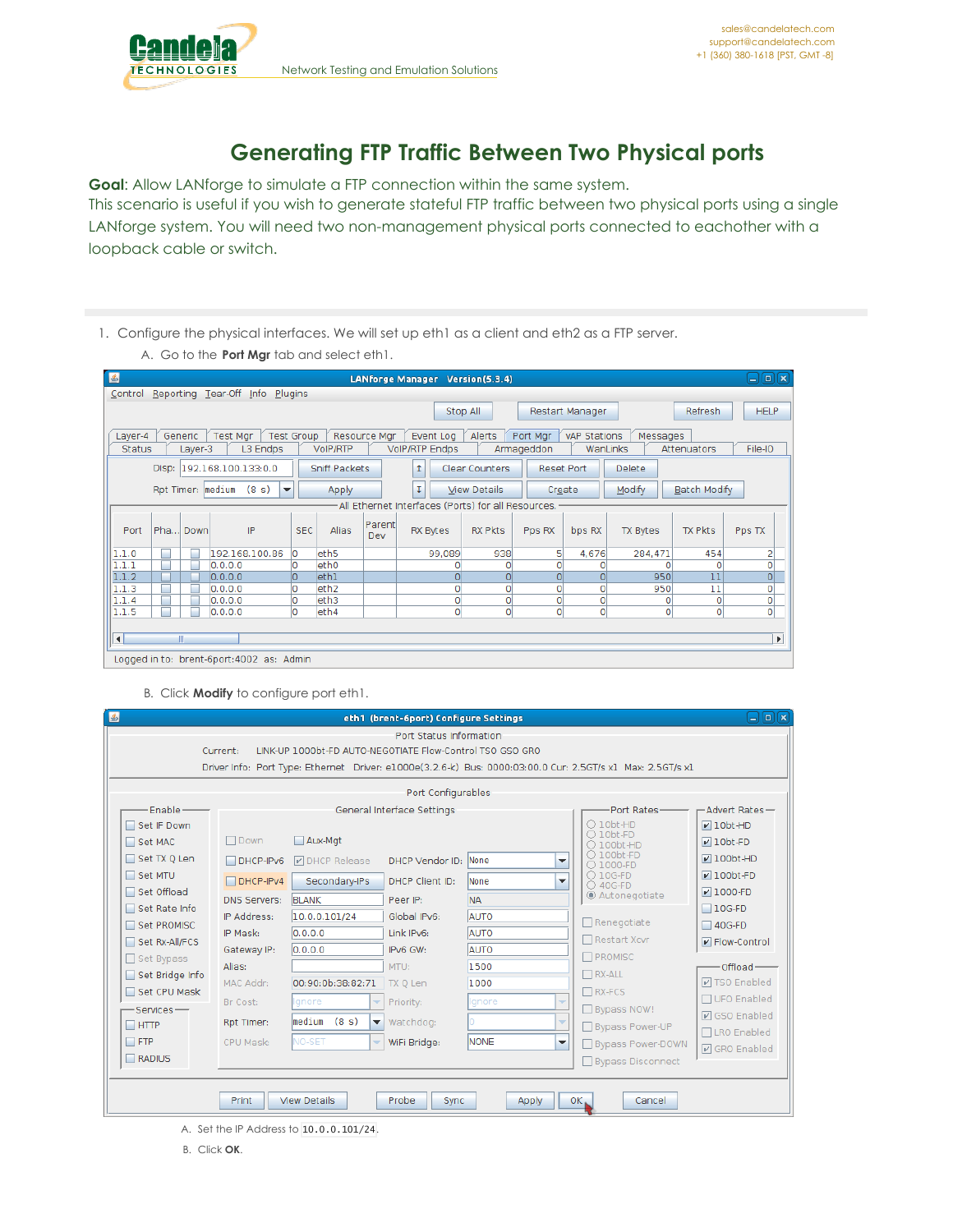## **Generating FTP Traffic Between Two Physical ports**

**Goal**: Allow LANforge to simulate a FTP connection within the same system. This scenario is useful if you wish to generate stateful FTP traffic between two physical ports using a single LANforge system. You will need two non-management physical ports connected to eachother with a loopback cable or switch.

1. Configure the physical interfaces. We will set up eth1 as a client and eth2 as a FTP server.

A. Go to the **Port Mgr** tab and select eth1.

| $\mathbf{E}$           |                                                                                                                                       |         |                    |                                           |            |                   |               | LANforge Manager Version(5.3.4)                    |                     |                   |                     |              |                         | $\blacksquare$<br>اد                        |
|------------------------|---------------------------------------------------------------------------------------------------------------------------------------|---------|--------------------|-------------------------------------------|------------|-------------------|---------------|----------------------------------------------------|---------------------|-------------------|---------------------|--------------|-------------------------|---------------------------------------------|
|                        |                                                                                                                                       |         |                    | Control Reporting Tear-Off Info Plugins   |            |                   |               |                                                    |                     |                   |                     |              |                         |                                             |
|                        | <b>HELP</b><br><b>Refresh</b><br>Stop All<br>Restart Manager                                                                          |         |                    |                                           |            |                   |               |                                                    |                     |                   |                     |              |                         |                                             |
| Layer-4                | <b>Test Group</b><br><b>Test Mar</b><br>Resource Mar<br>Port Mar<br>vAP Stations<br>Generic<br>Event Log<br>Alerts<br>Messages        |         |                    |                                           |            |                   |               |                                                    |                     |                   |                     |              |                         |                                             |
| <b>Status</b>          |                                                                                                                                       | Layer-3 |                    | L3 Endps                                  |            | <b>VoIP/RTP</b>   |               | <b>VolP/RTP Endps</b>                              |                     | Armageddon        | WanLinks            |              | Attenuators             | File-IO                                     |
|                        | Disp:<br>192.168.100.133:0.0<br><b>Sniff Packets</b><br>Clear Counters<br><b>Delete</b><br>1<br><b>Reset Port</b>                     |         |                    |                                           |            |                   |               |                                                    |                     |                   |                     |              |                         |                                             |
|                        | Ĩ.<br>Modify<br><b>Batch Modify</b><br>Rpt Timer:   medium<br>(8 s)<br><b>View Details</b><br>$\blacktriangledown$<br>Apply<br>Create |         |                    |                                           |            |                   |               |                                                    |                     |                   |                     |              |                         |                                             |
|                        |                                                                                                                                       |         |                    |                                           |            |                   |               | All Ethernet Interfaces (Ports) for all Resources. |                     |                   |                     |              |                         |                                             |
| Port                   | Pha Down                                                                                                                              |         |                    | IP                                        | <b>SEC</b> | <b>Alias</b>      | Parent<br>Dev | RX Bytes                                           | <b>RX Pkts</b>      | Pps RX            | bps RX              | TX Bytes     | TX Pkts                 | Pps TX                                      |
| 1.1.0                  |                                                                                                                                       |         |                    | 192.168.100.86                            | O          | leth <sub>5</sub> |               | 99.089                                             | 938                 | 5                 | 4,676               | 284,471      | 454                     | 2                                           |
| 1.1.1                  |                                                                                                                                       |         | 0.0.0.0            |                                           | O          | eth <sub>0</sub>  |               |                                                    |                     |                   | 0                   | Ω            | O                       | o                                           |
| 1.1.2                  |                                                                                                                                       |         | 0.0.0.0            |                                           | o          | leth1             |               | $\Omega$                                           | $\Omega$            | $\overline{0}$    | Ō                   | 950          | 11                      | $\overline{\mathsf{o}}$                     |
| 1.1.3                  |                                                                                                                                       |         | 0.0.0.0            |                                           | O          | leth <sub>2</sub> |               | O                                                  | 0                   | 0                 | Ō                   | 950          | 11                      | $\circ$                                     |
| 1.1.4<br>1.1.5         |                                                                                                                                       |         | 0.0.0.0<br>0.0.0.0 |                                           | O<br>lo    | leth3<br>leth4    |               | $\circ$<br>$\circ$                                 | $\Omega$<br>$\circ$ | 0<br>$\mathbf{0}$ | Ō<br>$\overline{0}$ | ٥<br>$\circ$ | $\circ$<br>$\mathbf{O}$ | $\overline{0}$<br>$\overline{\mathfrak{o}}$ |
|                        |                                                                                                                                       |         |                    |                                           |            |                   |               |                                                    |                     |                   |                     |              |                         |                                             |
| $\left  \cdot \right $ |                                                                                                                                       |         |                    |                                           |            |                   |               |                                                    |                     |                   |                     |              |                         | Þ.                                          |
|                        |                                                                                                                                       |         |                    |                                           |            |                   |               |                                                    |                     |                   |                     |              |                         |                                             |
|                        |                                                                                                                                       |         |                    | Logged in to: brent-6port: 4002 as: Admin |            |                   |               |                                                    |                     |                   |                     |              |                         |                                             |

B. Click **Modify** to configure port eth1.

| $\left  \frac{d}{2} \right $ |                                                                                                            |                                                           | eth1 (brent-6port) Configure Settings |             |                                                    | $\Box$ e $\bf k$              |  |  |  |  |  |
|------------------------------|------------------------------------------------------------------------------------------------------------|-----------------------------------------------------------|---------------------------------------|-------------|----------------------------------------------------|-------------------------------|--|--|--|--|--|
|                              | Current:                                                                                                   | LINK-UP 1000bt-FD AUTO-NEGOTIATE Flow-Control TSO GSO GRO | Port Status Information               |             |                                                    |                               |  |  |  |  |  |
|                              |                                                                                                            |                                                           |                                       |             |                                                    |                               |  |  |  |  |  |
|                              | Driver Info: Port Type: Ethernet Driver: e1000e(3.2.6-k) Bus: 0000:03:00.0 Cur: 2.5GT/s x1 Max: 2.5GT/s x1 |                                                           |                                       |             |                                                    |                               |  |  |  |  |  |
|                              | Port Configurables                                                                                         |                                                           |                                       |             |                                                    |                               |  |  |  |  |  |
| Fnable-                      |                                                                                                            |                                                           | General Interface Settings            |             | Port Rates-                                        | -Advert Rates-                |  |  |  |  |  |
| Set IF Down                  |                                                                                                            |                                                           |                                       |             | $\bigcirc$ 10bt-HD<br>$\bigcirc$ 10bt-FD           | $\nu$ 10bt-HD                 |  |  |  |  |  |
| $\Box$ Set MAC               | $\Box$ Down                                                                                                | Aux-Mat                                                   |                                       |             | ○ 100bt-HD                                         | $\nu$ 10bt-FD                 |  |  |  |  |  |
| Set TX 0 Len                 | $\Box$ DHCP-IPv6                                                                                           | <b>DICP Release</b>                                       | <b>DHCP Vendor ID:</b>                | None        | $\bigcirc$ 100bt-FD<br>▼<br>$\bigcirc$ 1000-FD     | $\n  100bt-HD\n$              |  |  |  |  |  |
| $\Box$ Set MTU               | $\Box$ DHCP-IPv4                                                                                           | Secondary-IPs                                             | DHCP Client ID:                       | <b>None</b> | $O$ 10G-FD<br>$\overline{\phantom{a}}$<br>○ 40G-FD | $\nu$ 100bt-FD                |  |  |  |  |  |
| Set Offload                  | <b>DNS Servers:</b>                                                                                        | <b>BLANK</b>                                              | Peer IP:                              | <b>NA</b>   | Autonegotiate                                      | $\nu$ 1000-FD                 |  |  |  |  |  |
| Set Rate Info                | IP Address:                                                                                                | 10.0.0.101/24                                             | Global IPv6:                          | AUTO        | $\Box$ Renegotiate                                 | $\Box$ 10G-FD                 |  |  |  |  |  |
| Set PROMISC                  | IP Mask:                                                                                                   | 0.0.0.0                                                   | Link IPv6:                            | <b>AUTO</b> |                                                    | $\Box$ 40G-FD                 |  |  |  |  |  |
| Set Rx-All/FCS               | Gateway IP:                                                                                                | 0.0.0.0                                                   | IPv6 GW:                              | <b>AUTO</b> | □ Restart Xcvr                                     | $\triangleright$ Flow-Control |  |  |  |  |  |
| $\Box$ Set Bypass            | Alias:                                                                                                     | MTU:                                                      |                                       | 1500        | <b>N</b> PROMISC                                   | Offload-                      |  |  |  |  |  |
| Set Bridge Info              | MAC Addr:                                                                                                  | 00:90:0b:38:82:71                                         | TX Q Len                              | 1000        | $\Box$ RX-ALL                                      | <b>☑ TSO Enabled</b>          |  |  |  |  |  |
| Set CPU Mask                 | Br Cost:                                                                                                   | Ignore<br>÷                                               | Priority:                             | Ignore      | $\n  RX-FCS\n$<br>$\overline{\phantom{a}}$         | □ UFO Enabled                 |  |  |  |  |  |
| -Services —                  | Rpt Timer:                                                                                                 | medium<br>(8 s)<br>$\overline{\phantom{a}}$               | Watchdog:                             |             | □ Bypass NOW!<br>÷                                 | <b>☑</b> GSO Enabled          |  |  |  |  |  |
| $\Box$ HTTP<br>$\Box$ FTP    |                                                                                                            |                                                           |                                       | <b>NONE</b> | Bypass Power-UP                                    | □LRO Enabled                  |  |  |  |  |  |
|                              | CPU Mask:                                                                                                  | <b>NO-SET</b><br>÷                                        | WiFi Bridge:                          |             | $\overline{\phantom{a}}$<br>Bypass Power-DOWN      | <b>☑</b> GRO Enabled          |  |  |  |  |  |
| $\Box$ RADIUS                |                                                                                                            |                                                           |                                       |             | Bypass Disconnect                                  |                               |  |  |  |  |  |
|                              |                                                                                                            |                                                           |                                       |             |                                                    |                               |  |  |  |  |  |
|                              | Print                                                                                                      | <b>View Details</b>                                       | Probe<br><b>Sync</b>                  | Apply       | $OK_{\bullet}$<br>Cancel                           |                               |  |  |  |  |  |

A. Set the IP Address to 10.0.0.101/24.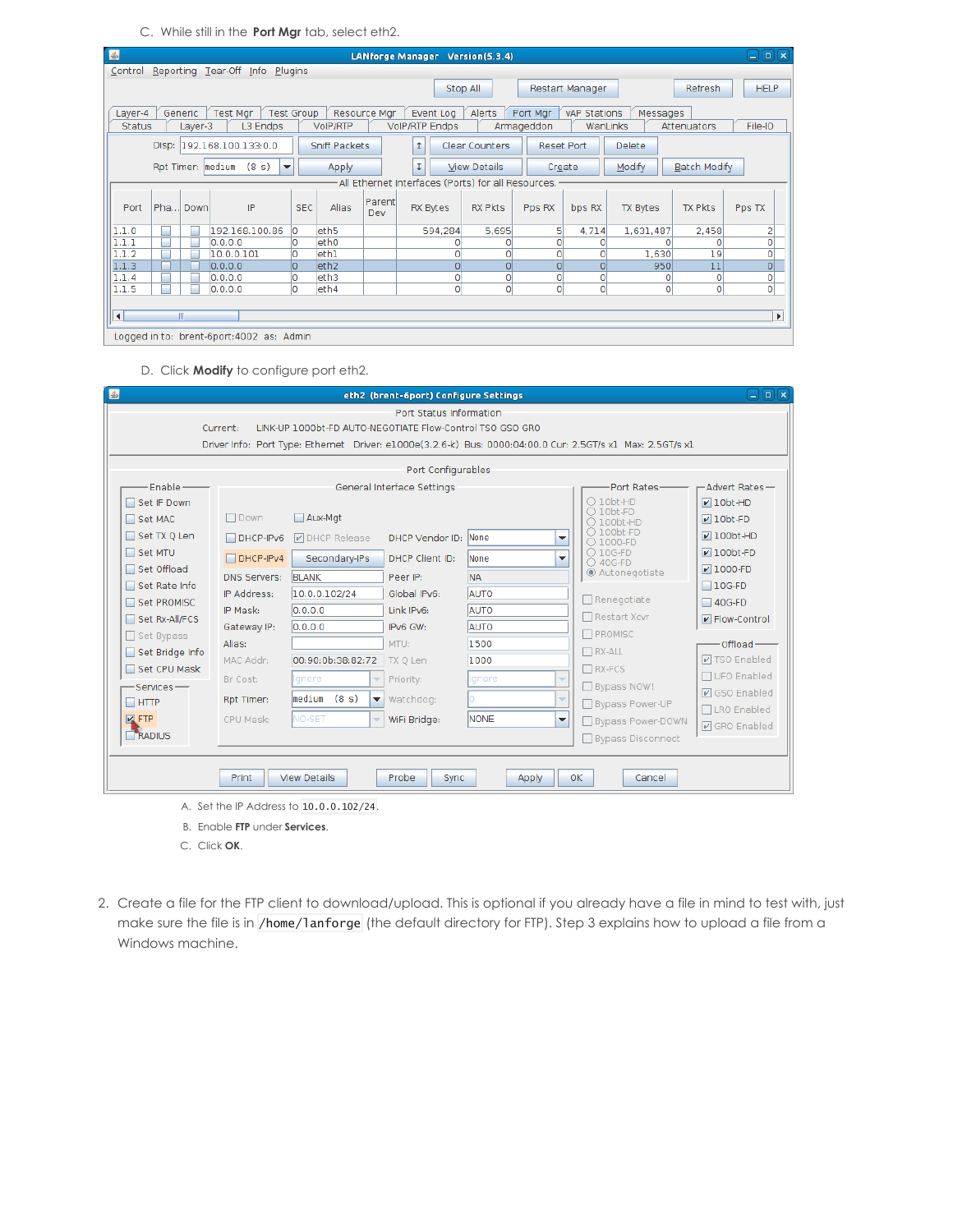C. While still in the **Port Mgr** tab, select eth2.

| 国                                                                                                                                  |                                                                                                      |                | LANforge Manager Version(5.3.4)                    |                |            |                |                 |                | $\Box$ e $\bm{\kappa}$  |  |  |
|------------------------------------------------------------------------------------------------------------------------------------|------------------------------------------------------------------------------------------------------|----------------|----------------------------------------------------|----------------|------------|----------------|-----------------|----------------|-------------------------|--|--|
| Control Reporting Tear-Off Info Plugins                                                                                            |                                                                                                      |                |                                                    |                |            |                |                 |                |                         |  |  |
|                                                                                                                                    | Stop All<br><b>HELP</b><br><b>Refresh</b><br>Restart Manager                                         |                |                                                    |                |            |                |                 |                |                         |  |  |
| <b>Test Group</b><br>Generic<br>Test Mgr<br>Resource Mgr<br>Event Log<br>Alerts<br>Port Mgr<br>vAP Stations<br>Messages<br>Laver-4 |                                                                                                      |                |                                                    |                |            |                |                 |                |                         |  |  |
| <b>Status</b><br>L3 Endps<br>Layer-3                                                                                               | <b>VoIP/RTP</b>                                                                                      |                | <b>VoIP/RTP Endps</b>                              |                | Armageddon | WanLinks       |                 | Attenuators    | File-IO                 |  |  |
| Disp: 192.168.100.133:0.0<br><b>Sniff Packets</b><br>Clear Counters<br><b>Delete</b><br>Ť.<br>Reset Port                           |                                                                                                      |                |                                                    |                |            |                |                 |                |                         |  |  |
| Rpt Timer: medium (8 s)                                                                                                            | Modify<br>τ<br><b>Batch Modify</b><br>$\blacktriangledown$<br><b>View Details</b><br>Apply<br>Create |                |                                                    |                |            |                |                 |                |                         |  |  |
|                                                                                                                                    |                                                                                                      |                | All Ethernet Interfaces (Ports) for all Resources. |                |            |                |                 |                |                         |  |  |
| IP<br>Pha Down<br>Port                                                                                                             | <b>SEC</b><br><b>Alias</b>                                                                           | Parentl<br>Dev | <b>RX Bytes</b>                                    | <b>RX Pkts</b> | Pps RX     | bps RX         | <b>TX Bytes</b> | <b>TX Pkts</b> | Pps TX                  |  |  |
| 192.168.100.86<br>1.1.0                                                                                                            | eth <sub>5</sub><br>O                                                                                |                | 594,284                                            | 5,695          | 5          | 4,714          | 1,631,487       | 2,458          | 2                       |  |  |
| 1.1.1<br>0.0.0.0                                                                                                                   | eth0<br>Ю                                                                                            |                |                                                    |                |            | Ω              |                 | O              | 0                       |  |  |
| 1.1.2<br>10.0.0.101                                                                                                                | O<br>eth1                                                                                            |                | o                                                  |                | $\Omega$   | 0              | 1,630           | 19             | $\overline{\mathsf{o}}$ |  |  |
| 1.1.3<br>0.0.0.0                                                                                                                   | O<br>eth <sub>2</sub>                                                                                |                | $\Omega$                                           | $\Omega$       | $\Omega$   | O              | 950             | 11             | $\overline{o}$          |  |  |
| 1.1.4<br>0.0.0.0                                                                                                                   | leth3<br>O                                                                                           |                | 0                                                  | 0              | 0          | 0              | Ω               | 0              | o                       |  |  |
| 1.1.5<br>0.0.0.0                                                                                                                   | o<br>leth4                                                                                           |                | $\circ$                                            | $\Omega$       | $\Omega$   | $\overline{0}$ | $\Omega$        | $\Omega$       | $\circ$                 |  |  |
|                                                                                                                                    |                                                                                                      |                |                                                    |                |            |                |                 |                |                         |  |  |
| $\left  \right $<br>Ш                                                                                                              |                                                                                                      |                |                                                    |                |            |                |                 |                | Þ.                      |  |  |
| ogged in to: brent-6port:4002 as: Admin                                                                                            |                                                                                                      |                |                                                    |                |            |                |                 |                |                         |  |  |

D. Click **Modify** to configure port eth2.

| 国                                                                        |                                      |                                                            | eth2 (brent-6port) Configure Settings   |                                                            |                                                                                                            | $\Box$ e $\bf x$                                                               |
|--------------------------------------------------------------------------|--------------------------------------|------------------------------------------------------------|-----------------------------------------|------------------------------------------------------------|------------------------------------------------------------------------------------------------------------|--------------------------------------------------------------------------------|
|                                                                          | Current:                             | LINK-UP 1000bt-FD AUTO-NEGOTIATE Flow-Control TSO GSO GRO  | Port Status Information                 |                                                            | Driver Info: Port Type: Ethernet Driver: e1000e(3.2.6-k) Bus: 0000:04:00.0 Cur: 2.5GT/s x1 Max: 2.5GT/s x1 |                                                                                |
|                                                                          |                                      |                                                            | Port Configurables                      |                                                            |                                                                                                            |                                                                                |
| Enable-<br>Set IF Down<br>Set MAC                                        | $\Box$ Down                          | Aux-Mat                                                    | General Interface Settings              |                                                            | Port Rates-<br>$O$ 10bt-HD<br>$\bigcirc$ 10bt-FD<br>$\bigcirc$ 100bt-HD                                    | -Advert Rates-<br>$\nu$ 10bt-HD<br>$\nu$ 10bt-FD                               |
| Set TX Q Len<br>Set MTU<br>□ Set Offload<br>Set Rate Info<br>Set PROMISC | $\Box$ DHCP-IPv6<br>$\Box$ DHCP-IPv4 | <b>DE DHCP Release</b><br>Secondary-IPs                    | DHCP Vendor ID: None<br>DHCP Client ID: | None                                                       | ○ 100bt-FD<br>▼<br>$\bigcirc$ 1000-FD<br>$O$ 10G-FD<br>▼<br>○ 40G-FD                                       | $V100bt-HD$<br>$\nu$ 100bt-FD<br>$V$ 1000-FD<br>$\Box$ 10G-FD<br>$\Box$ 40G-FD |
|                                                                          | <b>DNS Servers:</b><br>IP Address:   | <b>BLANK</b><br>10.0.0.102/24                              | Peer IP:<br>Global IPv6:                | C Autonegotiate<br><b>NA</b><br>AUTO<br>$\Box$ Renegotiate |                                                                                                            |                                                                                |
| Set Rx-All/FCS<br>Set Bypass                                             | IP Mask:<br>Gateway IP:<br>Alias:    | 0.0.0.0<br>0.0.0.0                                         | Link IPv6:<br>IPv6 GW:<br>MTU:          | <b>AUTO</b><br><b>AUTO</b><br>1500                         | □ Restart Xcvr<br>PROMISC                                                                                  | P Flow-Control<br>Offload-                                                     |
| Set Bridge Info<br>Set CPU Mask<br>Services-                             | MAC Addr:<br>Br Cost:                | 00:90:0b:38:82:72<br>Ignore<br>÷                           | TX Q Len<br>Priority:                   | 1000<br>Ignore                                             | $\Box$ RX-ALL<br>$\Box$ RX-FCS<br>$\overline{\phantom{a}}$<br>Bypass NOW!                                  | <b>☑ TSO Enabled</b><br>□ UFO Enabled                                          |
| $\Box$ HTTP<br>$\nabla$ FTP                                              | Rpt Timer:<br>CPU Mask:              | medium<br>(8 s)<br>▼<br>NO-SET<br>$\overline{\phantom{a}}$ | Watchdog:<br>WiFi Bridge:               | <b>NONE</b>                                                | ÷<br>Bypass Power-UP<br>$\overline{\phantom{a}}$<br>Bypass Power-DOWN                                      | <b>☑</b> GSO Enabled<br>□LRO Enabled<br><b>☑</b> GRO Enabled                   |
| RADIUS                                                                   | Print                                | <b>View Details</b>                                        | Probe<br><b>Sync</b>                    | Apply                                                      | □ Bypass Disconnect<br>0K<br>Cancel                                                                        |                                                                                |

- B. Enable **FTP** under **Services**.
- C. Click **OK**.
- 2. Create a file for the FTP client to download/upload. This is optional if you already have a file in mind to test with, just make sure the file is in /home/lanforge (the default directory for FTP). Step 3 explains how to upload a file from a Windows machine.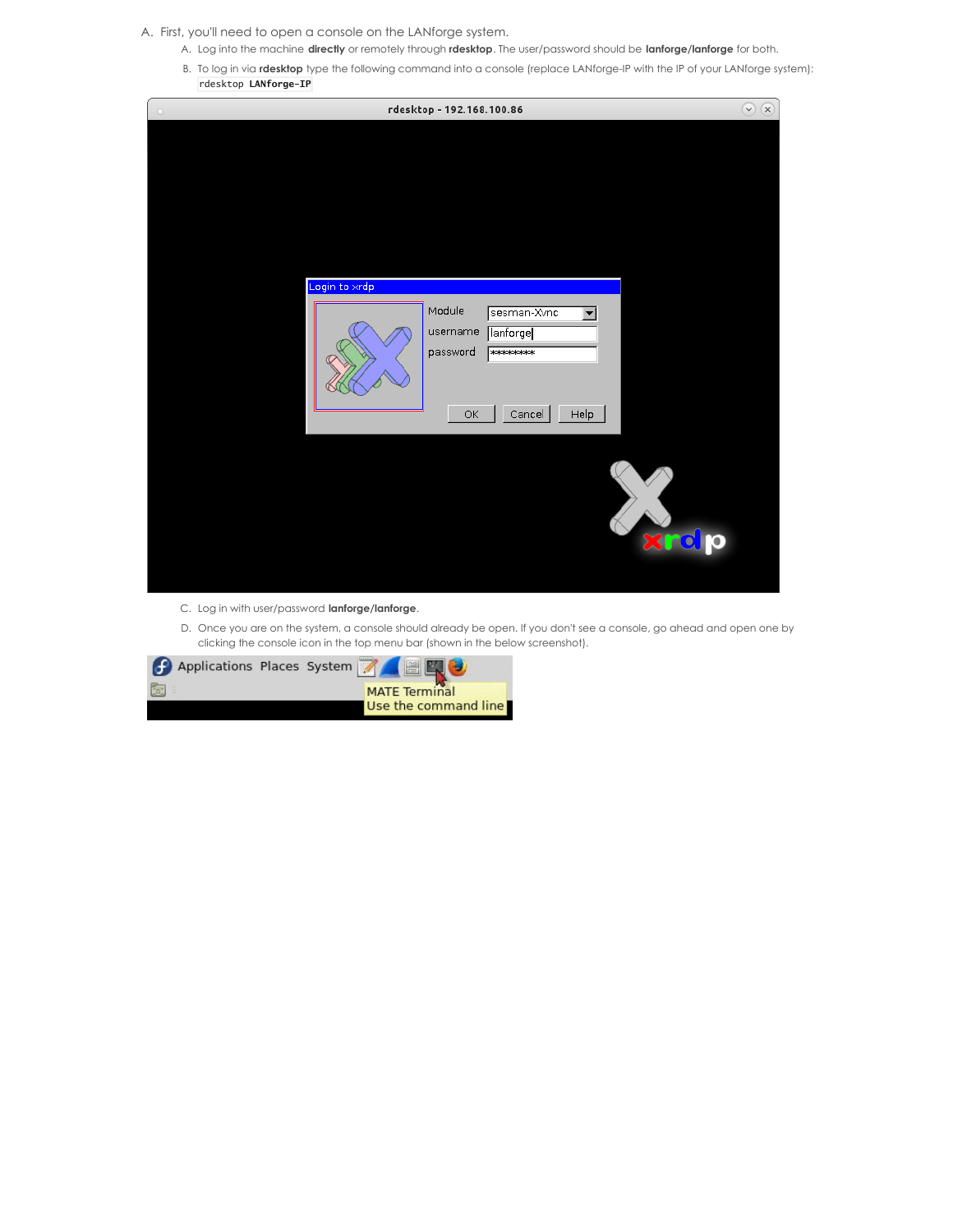A. First, you'll need to open a console on the LANforge system.

- A. Log into the machine **directly** or remotely through **rdesktop**. The user/password should be **lanforge/lanforge** for both.
- B. To log in via **rdesktop** type the following command into a console (replace LANforge-IP with the IP of your LANforge system): rdesktop **LANforge-IP**



- C. Log in with user/password **lanforge/lanforge**.
- D. Once you are on the system, a console should already be open. If you don't see a console, go ahead and open one by clicking the console icon in the top menu bar (shown in the below screenshot).

| <b>f</b> Applications Places System <b>A</b> |                      |
|----------------------------------------------|----------------------|
| To:                                          | <b>MATE Terminal</b> |
|                                              | Use the command line |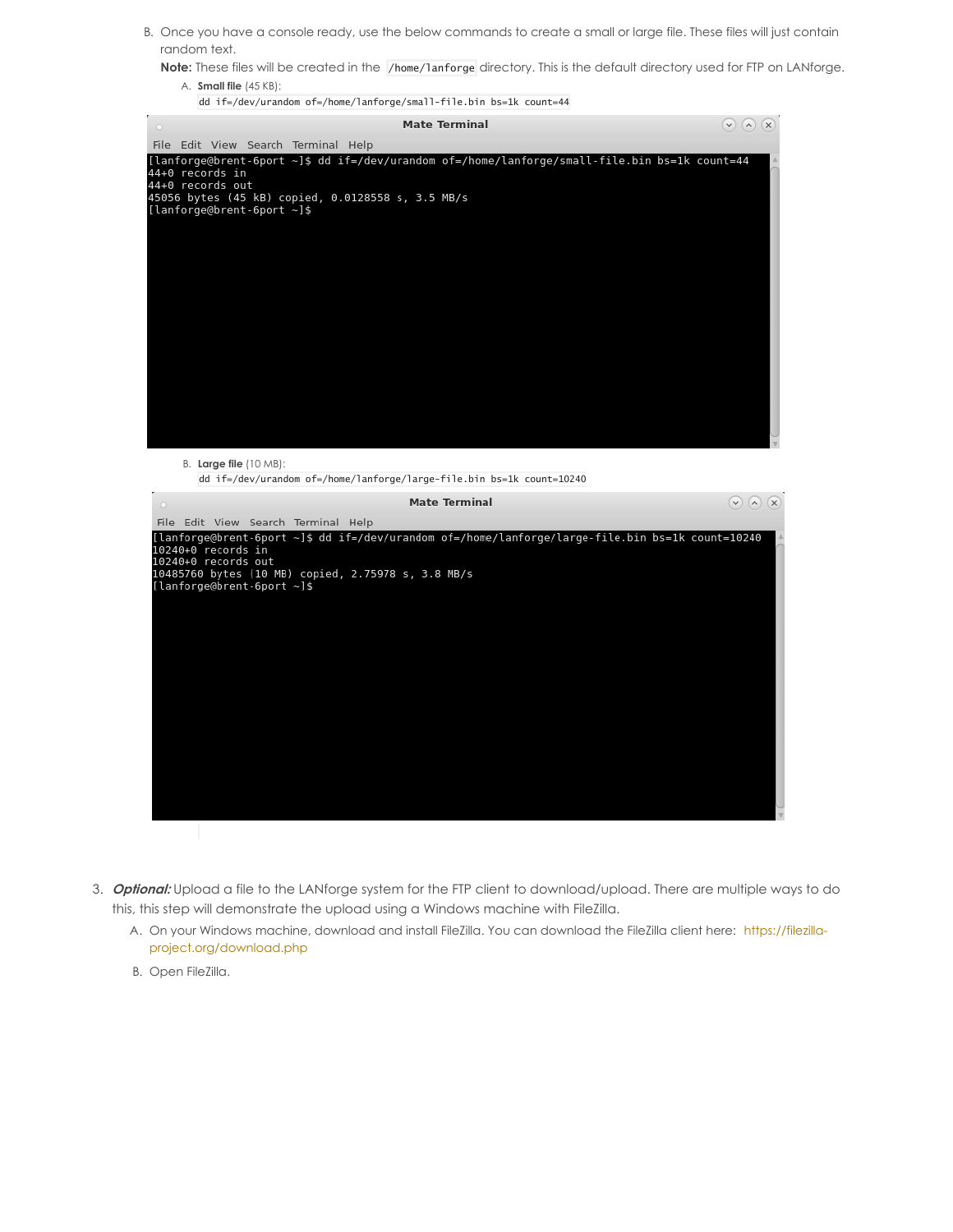B. Once you have a console ready, use the below commands to create a small or large file. These files will just contain random text.

**Note:** These files will be created in the /home/lanforge directory. This is the default directory used for FTP on LANforge.

A. **Small file** (45 KB):



B. **Large file** (10 MB): dd if=/dev/urandom of=/home/lanforge/large-file.bin bs=1k count=10240



- 3. **Optional:** Upload a file to the LANforge system for the FTP client to download/upload. There are multiple ways to do this, this step will demonstrate the upload using a Windows machine with FileZilla.
	- A. On your Windows machine, download and install FileZilla. You can download the FileZilla client here: https://filezilla[project.org/download.php](https://filezilla-project.org/download.php)
	- B. Open FileZilla.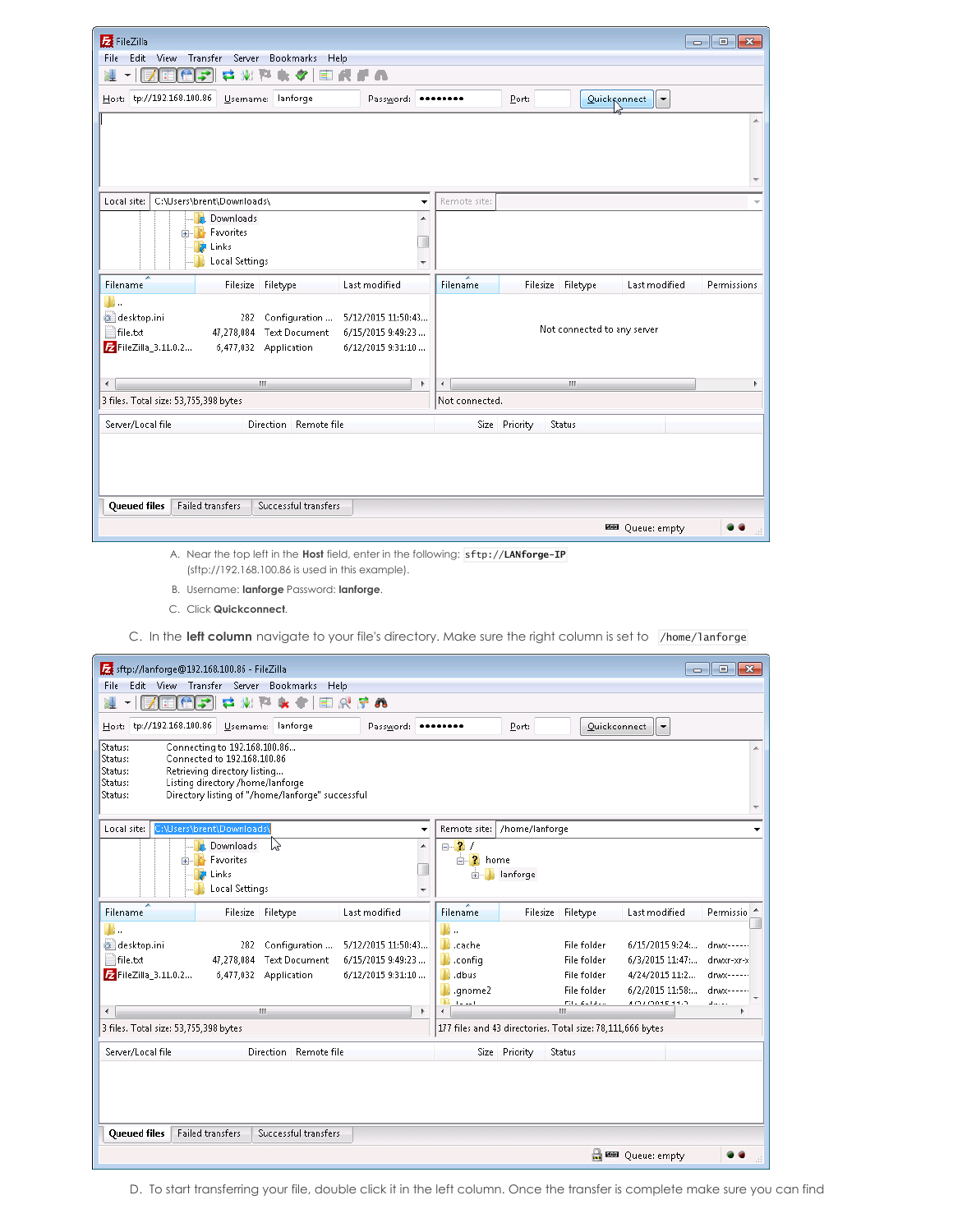| FileZilla                                                                                                                                                                                                    | $\Box$ $\Box$ $\mathbf{x}$                                           |
|--------------------------------------------------------------------------------------------------------------------------------------------------------------------------------------------------------------|----------------------------------------------------------------------|
| Transfer<br>Server<br>Bookmarks<br>Help<br>Edit<br><b>View</b><br><b>File</b>                                                                                                                                |                                                                      |
| 云<br>w<br>$\rightarrow$                                                                                                                                                                                      |                                                                      |
| Host: tp://192.168.100.86<br>Username: lanforge<br>Password:                                                                                                                                                 | Port:<br>$Quick$ <sub>c</sub> onnect $\blacktriangledown$            |
|                                                                                                                                                                                                              |                                                                      |
| Local site:<br>C:\Users\brent\Downloads\                                                                                                                                                                     | Remote site:<br>$\overline{\phantom{a}}$                             |
| Downloads                                                                                                                                                                                                    | ▲                                                                    |
| Favorites<br>$\left  + \right $                                                                                                                                                                              |                                                                      |
| Links                                                                                                                                                                                                        |                                                                      |
| <b>Local Settings</b>                                                                                                                                                                                        | ٠                                                                    |
| Filename<br>Filesize Filetype<br>Last modified                                                                                                                                                               | Filesize Filetype<br><b>Filename</b><br>Last modified<br>Permissions |
| 41<br>desktop.ini<br>Configuration<br>5/12/2015 11:50:43<br>282<br>file.txt<br>47,278,084<br><b>Text Document</b><br>6/15/2015 9:49:23<br>E FileZilla_3.11.0.2<br>6/12/2015 9:31:10<br>6,477,032 Application | Not connected to any server                                          |
| $\leftarrow$<br><b>COL</b>                                                                                                                                                                                   | m.<br>Þ<br>∢                                                         |
| 3 files. Total size: 53,755,398 bytes                                                                                                                                                                        | Not connected.                                                       |
| Server/Local file<br>Direction Remote file                                                                                                                                                                   | Size Priority<br>Status                                              |
|                                                                                                                                                                                                              |                                                                      |
| <b>Failed transfers</b><br>Successful transfers<br><b>Queued files</b>                                                                                                                                       |                                                                      |
|                                                                                                                                                                                                              | 图 Queue: empty                                                       |

A. Near the top left in the **Host** field, enter in the following: sftp://**LANforge-IP** (sftp://192.168.100.86 is used in this example).

B. Username: **lanforge** Password: **lanforge**.

C. In the **left column** navigate to your file's directory. Make sure the right column is set to /home/lanforge

| sftp://lanforge@192.168.100.86 - FileZilla                                        | $\begin{array}{c c c c c c} \hline \multicolumn{3}{c }{\mathbf{C}} & \multicolumn{3}{c }{\mathbf{S}} & \multicolumn{3}{c }{\mathbf{S}} & \multicolumn{3}{c }{\mathbf{S}} & \multicolumn{3}{c }{\mathbf{S}} & \multicolumn{3}{c }{\mathbf{S}} & \multicolumn{3}{c }{\mathbf{S}} & \multicolumn{3}{c }{\mathbf{S}} & \multicolumn{3}{c }{\mathbf{S}} & \multicolumn{3}{c }{\mathbf{S}} & \multicolumn{3}{c }{\mathbf{S}} & \multicolumn{3}{c }{\mathbf$ |
|-----------------------------------------------------------------------------------|-------------------------------------------------------------------------------------------------------------------------------------------------------------------------------------------------------------------------------------------------------------------------------------------------------------------------------------------------------------------------------------------------------------------------------------------------------|
| Edit View Transfer Server<br>Bookmarks<br>Help<br>File                            |                                                                                                                                                                                                                                                                                                                                                                                                                                                       |
| 只早的<br>5<br>$\mathbb{Z}^2$<br>۰                                                   |                                                                                                                                                                                                                                                                                                                                                                                                                                                       |
| Host: tp://192.168.100.86<br>Username: lanforge<br>Password:                      | Quickconnect<br>Port:<br>∣▼                                                                                                                                                                                                                                                                                                                                                                                                                           |
| Status:<br>Connecting to 192.168.100.86<br>Connected to 192.168.100.86<br>Status: |                                                                                                                                                                                                                                                                                                                                                                                                                                                       |
| Retrieving directory listing<br>Status:                                           |                                                                                                                                                                                                                                                                                                                                                                                                                                                       |
| Listing directory /home/lanforge<br>Status:                                       |                                                                                                                                                                                                                                                                                                                                                                                                                                                       |
| Directory listing of "/home/lanforge" successful<br>Status:                       |                                                                                                                                                                                                                                                                                                                                                                                                                                                       |
| Local site:<br>C:\Users\brent\Downloads\<br>۰                                     | Remote site:<br>/home/lanforge                                                                                                                                                                                                                                                                                                                                                                                                                        |
| <b>Downloads</b><br>W<br>▲                                                        | $\Box$ ? /                                                                                                                                                                                                                                                                                                                                                                                                                                            |
| Favorites<br><b>A</b> Links                                                       | <b>E</b> . ? home<br>lanforge<br><b>FI-1</b>                                                                                                                                                                                                                                                                                                                                                                                                          |
| Local Settings<br>٠                                                               |                                                                                                                                                                                                                                                                                                                                                                                                                                                       |
| Filename<br>Filesize Filetype<br>Last modified                                    | <b>Filename</b><br>Filesize Filetype<br>Last modified<br>Permissio                                                                                                                                                                                                                                                                                                                                                                                    |
| П.                                                                                | П.                                                                                                                                                                                                                                                                                                                                                                                                                                                    |
| desktop.ini<br>Configuration<br>5/12/2015 11:50:43<br>282                         | Li <sub>ke</sub> cache<br>File folder<br>6/15/2015 9:24:<br>drwx------                                                                                                                                                                                                                                                                                                                                                                                |
| file.txt<br><b>Text Document</b><br>6/15/2015 9:49:23<br>47,278,084               | $\blacksquare$ .config<br>File folder<br>6/3/2015 11:47:<br>drwxr-xr-x                                                                                                                                                                                                                                                                                                                                                                                |
| E FileZilla_3.11.0.2<br>6,477,032 Application<br>6/12/2015 9:31:10                | $\blacksquare$ .dbus<br>File folder<br>4/24/2015 11:2<br>dnax------                                                                                                                                                                                                                                                                                                                                                                                   |
|                                                                                   | Lanome <sub>2</sub><br>File folder<br>6/2/2015 11:58:<br>dnax------                                                                                                                                                                                                                                                                                                                                                                                   |
| $\overline{4}$<br>m.<br>Þ                                                         | maria a sua<br>A CLAIM ON THE SHIP<br>mit a destated<br>المستعلم<br>Ш<br>٠                                                                                                                                                                                                                                                                                                                                                                            |
| 3 files. Total size: 53,755,398 bytes                                             | 177 files and 43 directories. Total size: 78,111,666 bytes                                                                                                                                                                                                                                                                                                                                                                                            |
| Server/Local file<br>Direction Remote file                                        | Size Priority<br>Status                                                                                                                                                                                                                                                                                                                                                                                                                               |
|                                                                                   |                                                                                                                                                                                                                                                                                                                                                                                                                                                       |
|                                                                                   |                                                                                                                                                                                                                                                                                                                                                                                                                                                       |
|                                                                                   |                                                                                                                                                                                                                                                                                                                                                                                                                                                       |
| <b>Failed transfers</b><br>Successful transfers<br><b>Queued files</b>            |                                                                                                                                                                                                                                                                                                                                                                                                                                                       |
|                                                                                   | a<br><b>BBB</b> Queue: empty                                                                                                                                                                                                                                                                                                                                                                                                                          |

D. To start transferring your file, double click it in the left column. Once the transfer is complete make sure you can find

C. Click **Quickconnect**.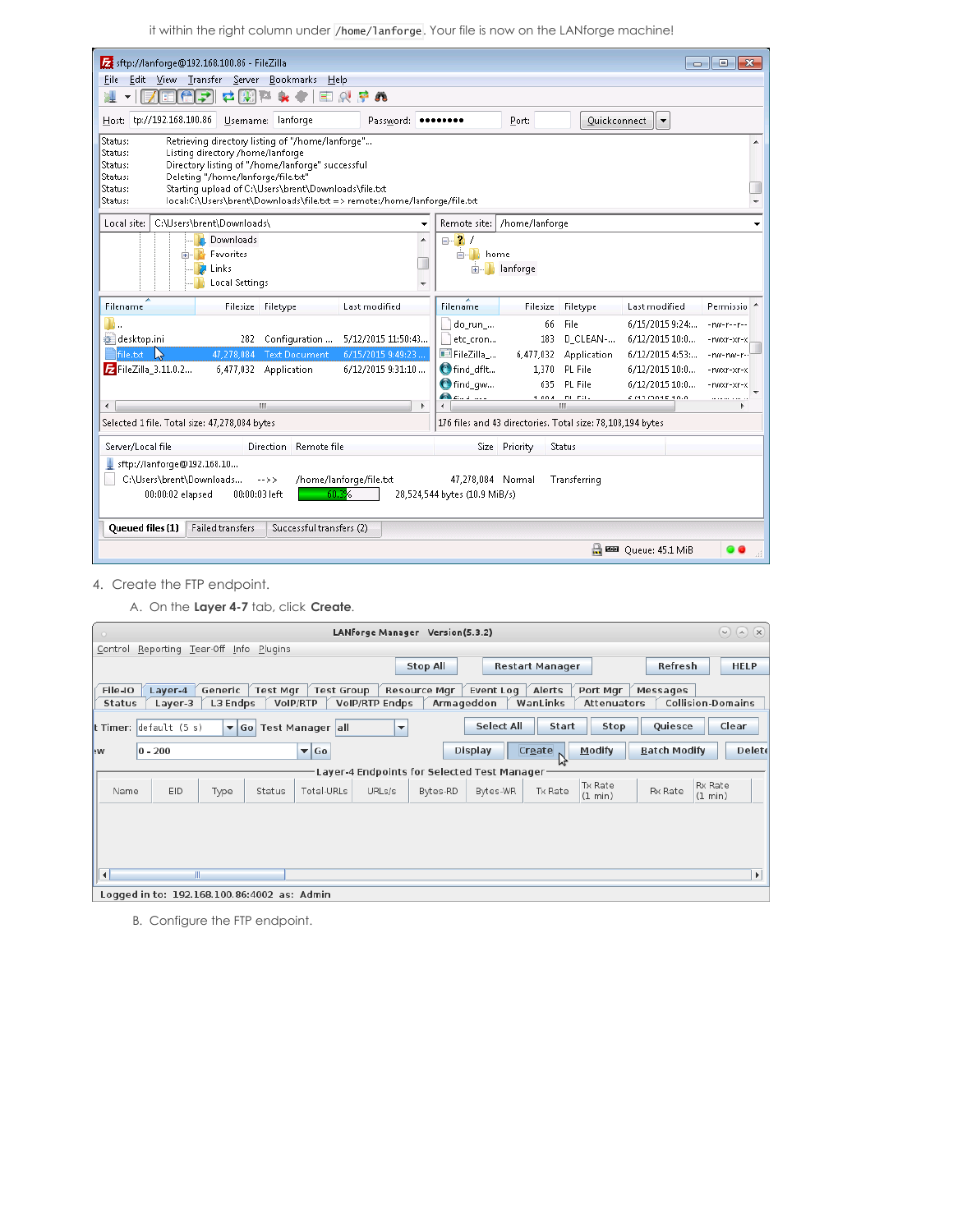it within the right column under /home/lanforge. Your file is now on the LANforge machine!

| sftp://lanforge@192.168.100.86 - FileZilla                                                                                                                                                                                                                                                                                                                                            |                                                          |                                                            |                             | المعا                                                                                    | $\mathbf{x}$<br>$\Box$                                                      |  |  |  |
|---------------------------------------------------------------------------------------------------------------------------------------------------------------------------------------------------------------------------------------------------------------------------------------------------------------------------------------------------------------------------------------|----------------------------------------------------------|------------------------------------------------------------|-----------------------------|------------------------------------------------------------------------------------------|-----------------------------------------------------------------------------|--|--|--|
| Edit View Transfer Server Bookmarks<br><b>File</b><br>$He$ lp                                                                                                                                                                                                                                                                                                                         |                                                          |                                                            |                             |                                                                                          |                                                                             |  |  |  |
| E 6 7<br>本版<br>$R + R$<br>V.                                                                                                                                                                                                                                                                                                                                                          |                                                          |                                                            |                             |                                                                                          |                                                                             |  |  |  |
| tp://192.168.100.86<br>Username: lanforge<br>Password:<br>Host:                                                                                                                                                                                                                                                                                                                       |                                                          | Port:                                                      | Quickconnect                | l v                                                                                      |                                                                             |  |  |  |
| Retrieving directory listing of "/home/lanforge"<br>Status:<br>Listing directory /home/lanforge<br>Status:<br>Directory listing of "/home/lanforge" successful<br>Status:<br>Deleting "/home/lanforge/file.txt"<br>Status:<br>Starting upload of C:\Users\brent\Downloads\file.txt<br>Status:<br>local:C:\Users\brent\Downloads\file.txt => remote:/home/lanforge/file.txt<br>Status: |                                                          |                                                            |                             |                                                                                          |                                                                             |  |  |  |
| Local site:<br>C:\Users\brent\Downloads\<br>٠                                                                                                                                                                                                                                                                                                                                         | Remote site:                                             | /home/lanforge                                             |                             |                                                                                          |                                                                             |  |  |  |
| Downloads<br><b>Favorites</b><br>Links<br>Local Settings<br>$\overline{\phantom{a}}$                                                                                                                                                                                                                                                                                                  | $\Box$ 2 /<br><b>E</b> . let home<br>Ėŀ                  | lanforge                                                   |                             |                                                                                          |                                                                             |  |  |  |
| <b>Filename</b><br>Filesize Filetype<br>Last modified                                                                                                                                                                                                                                                                                                                                 | <b>Filename</b>                                          | Filesize Filetype                                          |                             | Last modified                                                                            | Permissio <sup>4</sup>                                                      |  |  |  |
| Щ.,<br>desktop.ini<br>5/12/2015 11:50:43<br>Configuration<br>282.<br>6/15/2015 9:49:23<br>file.bt<br><b>Text Document</b><br>-le<br>47,278,084<br>E FileZilla 3.11.0.2<br>6.477.032 Application<br>6/12/2015 9:31:10                                                                                                                                                                  | do_run_<br>etc_cron<br>FileZilla<br>find dflt<br>find_qw | 66<br>183<br>6,477,032 Application<br>1.370 PL File<br>635 | File<br>D CLEAN-<br>PL File | 6/15/2015 9:24:<br>6/12/2015 10:0<br>6/12/2015 4:53:<br>6/12/2015 10:0<br>6/12/2015 10:0 | $-100 - 1 - 1 - 1$<br>-rwxr-xr-x<br>-nov-nov-r-<br>-rwxr-xr-x<br>-rwxr-xr-x |  |  |  |
| ×.<br>m.                                                                                                                                                                                                                                                                                                                                                                              | <b>Contact State Contact State</b>                       | 1.004<br>ш                                                 | DI FIL                      | 6.012,0015,10.0                                                                          |                                                                             |  |  |  |
| Selected 1 file. Total size: 47,278,084 bytes                                                                                                                                                                                                                                                                                                                                         |                                                          | 176 files and 43 directories. Total size: 78,108,194 bytes |                             |                                                                                          |                                                                             |  |  |  |
| Server/Local file<br><b>Direction</b><br>Remote file                                                                                                                                                                                                                                                                                                                                  |                                                          | Size Priority<br>Status                                    |                             |                                                                                          |                                                                             |  |  |  |
| sftp://lanforge@192.168.10<br>C:\Users\brent\Downloads<br>/home/lanforge/file.txt<br>$-$ >><br>47,278,084 Normal<br>Transferring<br>60.3%<br>00:00:02 elapsed<br>00:00:03 left<br>28,524,544 bytes (10.9 MiB/s)                                                                                                                                                                       |                                                          |                                                            |                             |                                                                                          |                                                                             |  |  |  |
| Queued files (1)<br><b>Failed transfers</b><br>Successful transfers (2)                                                                                                                                                                                                                                                                                                               |                                                          |                                                            |                             |                                                                                          |                                                                             |  |  |  |
|                                                                                                                                                                                                                                                                                                                                                                                       |                                                          |                                                            |                             | □ 图 Queue: 45.1 MiB                                                                      |                                                                             |  |  |  |

- 4. Create the FTP endpoint.
	- A. On the **Layer 4-7** tab, click **Create**.

|                                        |                                             |                         |                 |                               |                          | LANforge Manager Version(5.3.2)             |                   |                        |                         |                                      |                           | $(9)$ $(0)$ $(8)$     |
|----------------------------------------|---------------------------------------------|-------------------------|-----------------|-------------------------------|--------------------------|---------------------------------------------|-------------------|------------------------|-------------------------|--------------------------------------|---------------------------|-----------------------|
| Control                                | Reporting Tear-Off Info                     |                         | Plugins         |                               |                          |                                             |                   |                        |                         |                                      |                           |                       |
|                                        |                                             |                         |                 |                               |                          | <b>Stop All</b>                             |                   | <b>Restart Manager</b> |                         | Refresh                              |                           | <b>HELP</b>           |
| File-IO<br><b>Status</b>               | Layer-4<br>Laver-3                          | Generic<br>L3 Endps     | <b>Test Mgr</b> | <b>Test Group</b><br>VoIP/RTP | <b>VoIP/RTP Endps</b>    | <b>Resource Mgr</b><br>Armageddon           | Event Log         | Alerts<br>WanLinks     | Port Mgr<br>Attenuators | Messages<br><b>Collision-Domains</b> |                           |                       |
| <b>t Timer:</b> $\det$ default $(5 s)$ |                                             | $\blacktriangledown$ Go |                 | Test Manager all              | $\overline{\phantom{a}}$ |                                             | <b>Select All</b> | Start                  | Stop                    | Quiesce                              |                           | Clear                 |
| <b>NV</b>                              | $ 0 - 200 $                                 |                         |                 | $\blacktriangledown$ Go       |                          |                                             | <b>Display</b>    | Create                 | Modify                  | <b>Batch Modify</b>                  |                           | <b>Delete</b>         |
|                                        |                                             |                         |                 |                               |                          | Layer-4 Endpoints for Selected Test Manager |                   |                        |                         |                                      |                           |                       |
| Name                                   | EID                                         | Type                    | Status          | Total-URLs                    | URLs/s                   | Bytes-RD                                    | Bytes-WR          | Tx Rate                | Tx Rate<br>(1 min)      | Rx Rate                              | <b>Rx Rate</b><br>(1 min) |                       |
| ∥∢                                     | $\mathbb{I}$                                |                         |                 |                               |                          |                                             |                   |                        |                         |                                      |                           | $\blacktriangleright$ |
|                                        | Logged in to: 192.168.100.86:4002 as: Admin |                         |                 |                               |                          |                                             |                   |                        |                         |                                      |                           |                       |

B. Configure the FTP endpoint.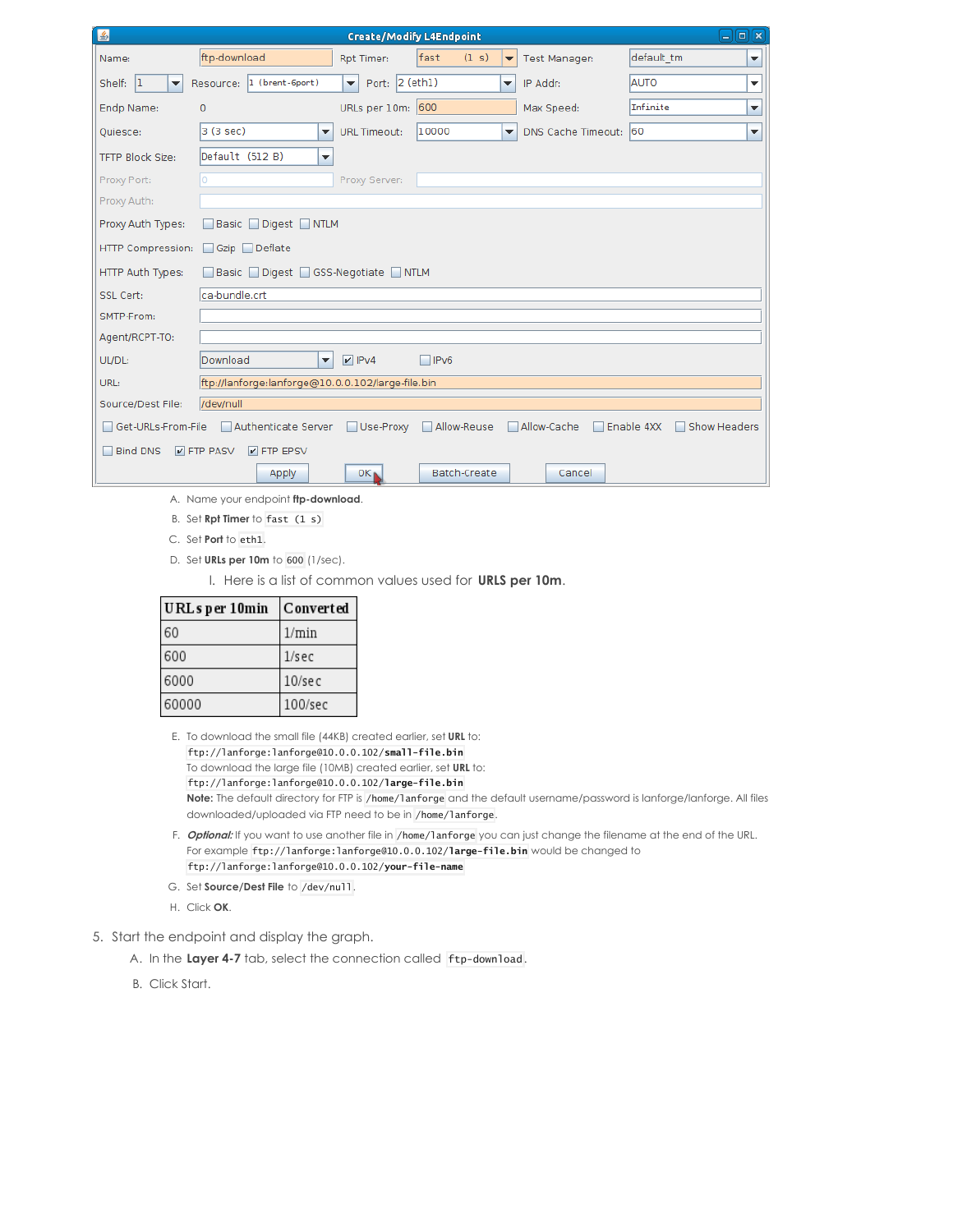| 圖                       |                                                   |                                          | <b>Create/Modify L4Endpoint</b> |                          |                       | $\Box$ $\Box$ $\mathbf{x}$                                       |
|-------------------------|---------------------------------------------------|------------------------------------------|---------------------------------|--------------------------|-----------------------|------------------------------------------------------------------|
| Name:                   | ftp-download                                      | Rpt Timer:                               | (1 s)<br>fast                   | ▼                        | <b>Test Manager:</b>  | default tm<br>▼                                                  |
| 1 <br>Shelf:<br>▼       | Resource: 1 (brent-6port)                         | Port: $2$ (eth1)<br>$\blacktriangledown$ |                                 | $\overline{\phantom{a}}$ | IP Addr:              | <b>AUTO</b><br>▼                                                 |
| Endp Name:              | $\Omega$                                          | URLs per 10m: 600                        |                                 |                          | Max Speed:            | Infinite<br>▼                                                    |
| Quiesce:                | 3 (3 sec)<br>$\overline{\phantom{a}}$             | <b>URL Timeout:</b>                      | 10000                           | ▾                        | DNS Cache Timeout: 60 | ▼                                                                |
| <b>TFTP Block Size:</b> | Default (512 B)<br>$\overline{\phantom{a}}$       |                                          |                                 |                          |                       |                                                                  |
| Proxy Port:             | lo                                                | Proxy Server:                            |                                 |                          |                       |                                                                  |
| Proxy Auth:             |                                                   |                                          |                                 |                          |                       |                                                                  |
| Proxy Auth Types:       | Basic Digest NTLM                                 |                                          |                                 |                          |                       |                                                                  |
| HTTP Compression:       | □ Gzip □ Deflate                                  |                                          |                                 |                          |                       |                                                                  |
| HTTP Auth Types:        | Basic Digest GSS-Negotiate NTLM                   |                                          |                                 |                          |                       |                                                                  |
| SSL Cert:               | ca-bundle.crt                                     |                                          |                                 |                          |                       |                                                                  |
| SMTP-From:              |                                                   |                                          |                                 |                          |                       |                                                                  |
| Agent/RCPT-TO:          |                                                   |                                          |                                 |                          |                       |                                                                  |
| UL/DL:                  | Download<br>$\blacktriangledown$                  | $V$ IPv4                                 | $\Box$ IPv6                     |                          |                       |                                                                  |
| URL:                    | ftp://lanforge:lanforge@10.0.0.102/large-file.bin |                                          |                                 |                          |                       |                                                                  |
| Source/Dest File:       | /dev/null                                         |                                          |                                 |                          |                       |                                                                  |
| Get-URLs-From-File      | Authenticate Server                               | Use-Proxy                                | Allow-Reuse                     |                          | Allow-Cache           | Enable 4XX<br><b>Show Headers</b><br><b>In the United States</b> |
| <b>Bind DNS</b>         | $\triangleright$ FTP PASV<br>$V$ FTP EPSV         |                                          |                                 |                          |                       |                                                                  |
|                         | Apply                                             | $OK_{\blacksquare}$                      | <b>Batch-Create</b>             |                          | Cancel                |                                                                  |

- A. Name your endpoint **ftp-download**.
- B. Set **Rpt Timer** to fast (1 s)
- C. Set **Port** to eth1.
- D. Set **URLs per 10m** to 600 (1/sec).

I. Here is a list of common values used for **URLS per 10m**.

| URLsper 10min | Converted |
|---------------|-----------|
| 60            | $1/m$ in  |
| 600           | $1/s$ ec  |
| 6000          | $10$ /sec |
| 60000         | 100/sec   |

E. To download the small file (44KB) created earlier, set **URL** to: ftp://lanforge:lanforge@10.0.0.102/**small-file.bin** To download the large file (10MB) created earlier, set **URL** to: ftp://lanforge:lanforge@10.0.0.102/**large-file.bin Note:** The default directory for FTP is /home/lanforge and the default username/password is lanforge/lanforge. All files downloaded/uploaded via FTP need to be in /home/lanforge.

- F. **Optional:** If you want to use another file in /home/lanforge you can just change the filename at the end of the URL. For example ftp://lanforge:lanforge@10.0.0.102/**large-file.bin** would be changed to ftp://lanforge:lanforge@10.0.0.102/**your-file-name**
- G. Set **Source/Dest File** to /dev/null.
- H. Click **OK**.
- 5. Start the endpoint and display the graph.
	- A. In the **Layer 4-7** tab, select the connection called ftp-download.
	- B. Click Start.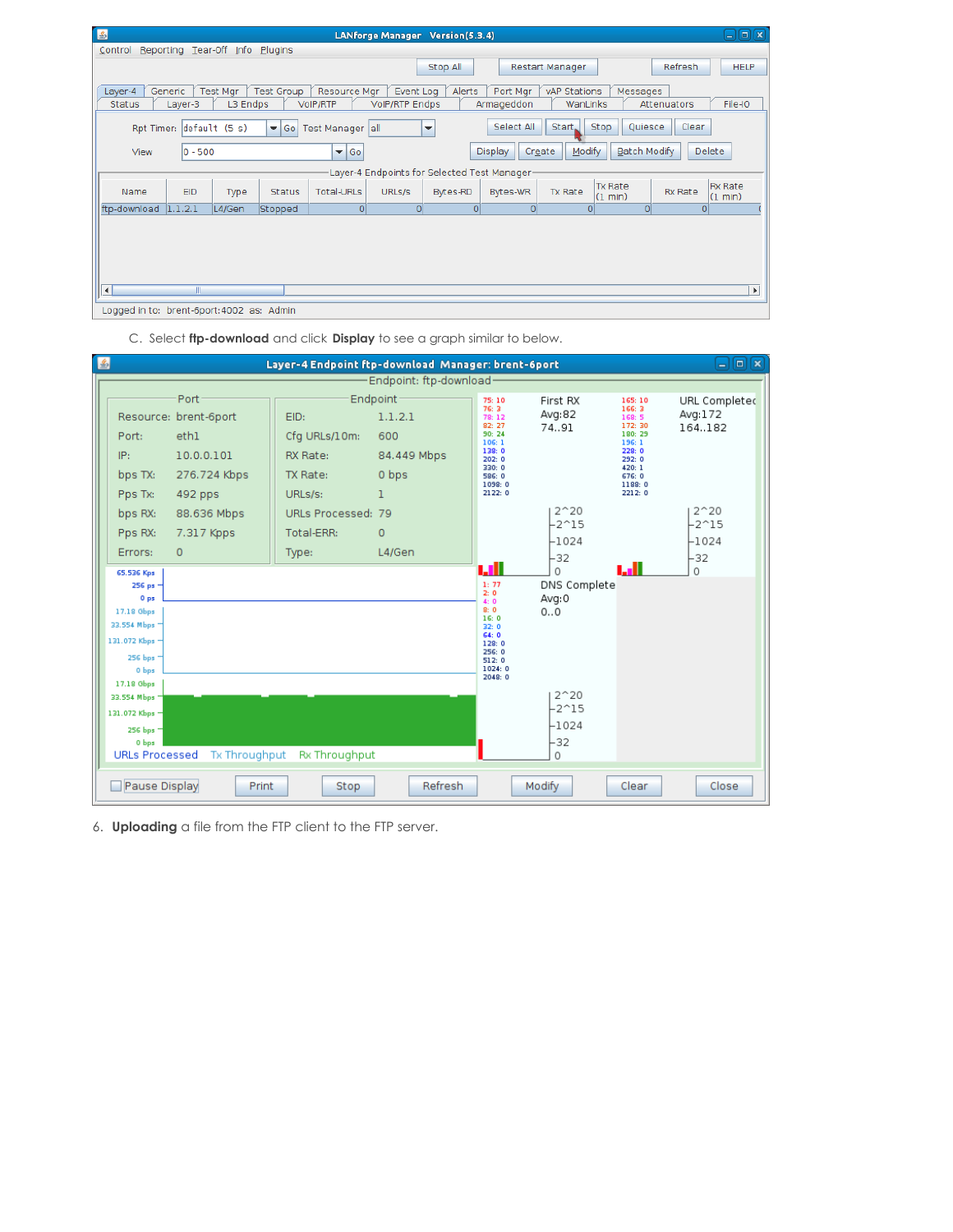| 国                                         |                                                                                                                                                        |                      |               |                          |                                    | LANforge Manager Version(5.3.4) |                                              |                          |                           |                | コ回図                       |
|-------------------------------------------|--------------------------------------------------------------------------------------------------------------------------------------------------------|----------------------|---------------|--------------------------|------------------------------------|---------------------------------|----------------------------------------------|--------------------------|---------------------------|----------------|---------------------------|
| Control                                   | Reporting Tear-Off Info Plugins                                                                                                                        |                      |               |                          |                                    |                                 |                                              |                          |                           |                |                           |
|                                           |                                                                                                                                                        |                      |               |                          |                                    | Stop All                        |                                              | Restart Manager          |                           | Refresh        | <b>HELP</b>               |
| Layer-4<br><b>Status</b>                  | Generic<br>Layer-3                                                                                                                                     | Test Mgr<br>L3 Endps | Test Group    | Resource Mgr<br>VoIP/RTP | Event Log<br><b>VolP/RTP Endps</b> | Alerts                          | Port Mgr<br>Armageddon                       | vAP Stations<br>WanLinks | Messages                  | Attenuators    | File-IO                   |
|                                           | Select All<br>Start.<br>Stop<br>Quiesce<br>Clear<br>Rpt Timer: default (5 s)<br>$\blacktriangledown$ Go<br>Test Manager all<br>$\overline{\mathbf{v}}$ |                      |               |                          |                                    |                                 |                                              |                          |                           |                |                           |
| View                                      | $ 0 - 500 $                                                                                                                                            |                      |               | $\blacktriangleright$ Go |                                    |                                 | Display                                      | Modify<br>Create         | <b>Batch Modify</b>       |                | <b>Delete</b>             |
|                                           |                                                                                                                                                        |                      |               |                          |                                    |                                 | Layer-4 Endpoints for Selected Test Manager- |                          |                           |                |                           |
| Name                                      | <b>EID</b>                                                                                                                                             | Type                 | <b>Status</b> | <b>Total-URLs</b>        | URLs/s                             | Bytes-RD                        | Bytes-WR                                     | <b>Tx Rate</b>           | <b>Tx Rate</b><br>(1 min) | <b>Rx Rate</b> | <b>Rx Rate</b><br>(1 min) |
| ftp-download 1.1.2.1                      |                                                                                                                                                        | L4/Gen               | Stopped       | 0                        | 0                                  | 0                               | $\Omega$                                     |                          | o۱                        | $\Omega$       |                           |
|                                           |                                                                                                                                                        |                      |               |                          |                                    |                                 |                                              |                          |                           |                |                           |
| ∣∢∣                                       | III.                                                                                                                                                   |                      |               |                          |                                    |                                 |                                              |                          |                           |                | $\blacktriangleright$     |
| Logged in to: brent-6port: 4002 as: Admin |                                                                                                                                                        |                      |               |                          |                                    |                                 |                                              |                          |                           |                |                           |

| $\vert \underline{\mathfrak{s}} \vert$ |                                                                                                                                                                                                                        |                                                                                     | Layer-4 Endpoint ftp-download Manager: brent-6port       |                                                         |                                                                                                                |                                                                                                                                 |                                                                                                                    | $\boxed{\square}$ $\boxed{\mathbf{x}}$<br>-1         |
|----------------------------------------|------------------------------------------------------------------------------------------------------------------------------------------------------------------------------------------------------------------------|-------------------------------------------------------------------------------------|----------------------------------------------------------|---------------------------------------------------------|----------------------------------------------------------------------------------------------------------------|---------------------------------------------------------------------------------------------------------------------------------|--------------------------------------------------------------------------------------------------------------------|------------------------------------------------------|
|                                        |                                                                                                                                                                                                                        |                                                                                     |                                                          | Endpoint: ftp-download-                                 |                                                                                                                |                                                                                                                                 |                                                                                                                    |                                                      |
|                                        | Port:<br>IP:<br>bps TX:<br>Pps Tx:                                                                                                                                                                                     | Port<br>Resource: brent-6port<br>ethl<br>10.0.0.101<br>276.724 Kbps<br>492 pps      | EID:<br>Cfg URLs/10m:<br>RX Rate:<br>TX Rate:<br>URLs/s: | Endpoint<br>1.1.2.1<br>600<br>84.449 Mbps<br>0 bps<br>1 | 75:10<br>76:3<br>78:12<br>82: 27<br>90:24<br>106:1<br>138:0<br>202:0<br>330: 0<br>586: 0<br>1098: 0<br>2122: 0 | First RX<br>Avg:82<br>74.91                                                                                                     | 165:10<br>166:3<br>168:5<br>172: 30<br>180: 29<br>196:1<br>228:0<br>292:0<br>420: 1<br>676: 0<br>1188:0<br>2212: 0 | URL Completed<br>Avg:172<br>164.182                  |
|                                        | bps RX:<br>Pps RX:<br>Errors:<br>65.536 Kps<br>256 ps =<br>0 <sub>ps</sub><br>17.18 Gbps<br>33.554 Mbps<br>131.072 Kbps -<br>256 bps 1<br>0 bps<br>17.18 Gbps<br>33.554 Mbps 1<br>131.072 Kbps -<br>256 bps =<br>0 bps | 88.636 Mbps<br>7.317 Kpps<br>$\Omega$<br>URLs Processed Tx Throughput Rx Throughput | URLs Processed: 79<br>Total-ERR:<br>Type:                | $\mathbf{0}$<br>L4/Gen                                  | ыl<br>1:77<br>2:0<br>4:0<br>8:0<br>16:0<br>32:0<br>64:0<br>128:0<br>256: 0<br>512:0<br>1024:0<br>2048:0        | $2^{\sim}20$<br>$-2^15$<br>$-1024$<br>-32<br>0<br>DNS Complete<br>Avg:0<br>00<br>$2^{\sim}20$<br>$-2^15$<br>$-1024$<br>-32<br>0 |                                                                                                                    | $2^{\sim}20$<br>$-2^{\sim}15$<br>$-1024$<br>-32<br>0 |
|                                        | Pause Display                                                                                                                                                                                                          | <b>Print</b>                                                                        | Stop                                                     | Refresh                                                 |                                                                                                                | Modify                                                                                                                          | Clear                                                                                                              | Close                                                |

C. Select **ftp-download** and click **Display** to see a graph similar to below.

6. **Uploading** a file from the FTP client to the FTP server.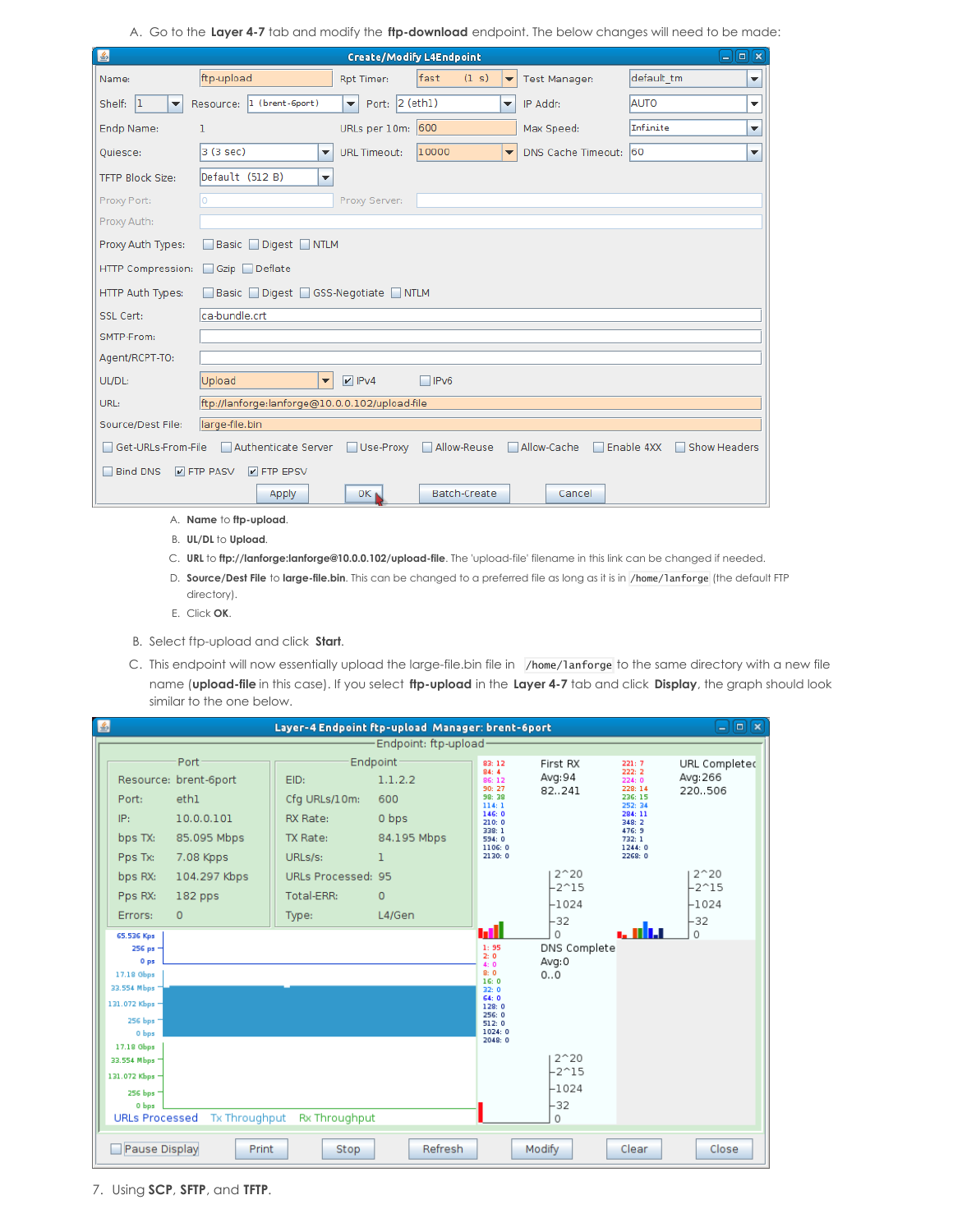A. Go to the **Layer 4-7** tab and modify the **ftp-download** endpoint. The below changes will need to be made:

| $\vert \mathcal{L} \vert$                                                                                                 |                                                |                                        | <b>Create/Modify L4Endpoint</b> |                          |                       | اد         | $\Box$                   |  |  |
|---------------------------------------------------------------------------------------------------------------------------|------------------------------------------------|----------------------------------------|---------------------------------|--------------------------|-----------------------|------------|--------------------------|--|--|
| Name:                                                                                                                     | ftp-upload                                     | Rpt Timer:                             | fast<br>(1 s)                   | ▼                        | <b>Test Manager:</b>  | default tm | $\blacktriangledown$     |  |  |
| Shelf: $ 1 $<br>$\blacktriangledown$                                                                                      | Resource: 1 (brent-6port)                      | Port: 2 (eth1)<br>$\blacktriangledown$ |                                 | ▼                        | IP Addr:              | AUTO       | $\overline{\phantom{a}}$ |  |  |
| Endp Name:                                                                                                                | ı                                              | URLs per 10m: 600                      |                                 |                          | Max Speed:            | Infinite   | $\blacktriangledown$     |  |  |
| Quiesce:                                                                                                                  | 3 (3 sec)<br>▼                                 | <b>URL Timeout:</b>                    | 10000                           | $\overline{\phantom{a}}$ | DNS Cache Timeout: 60 |            | $\blacktriangledown$     |  |  |
| <b>TFTP Block Size:</b>                                                                                                   | Default (512 B)<br>▼                           |                                        |                                 |                          |                       |            |                          |  |  |
| Proxy Port:                                                                                                               |                                                | Proxy Server:                          |                                 |                          |                       |            |                          |  |  |
| Proxy Auth:                                                                                                               |                                                |                                        |                                 |                          |                       |            |                          |  |  |
| Proxy Auth Types:                                                                                                         | Basic Digest NTLM                              |                                        |                                 |                          |                       |            |                          |  |  |
| HTTP Compression:<br>Gzip Deflate                                                                                         |                                                |                                        |                                 |                          |                       |            |                          |  |  |
| HTTP Auth Types:                                                                                                          | Basic Digest GSS-Negotiate NTLM                |                                        |                                 |                          |                       |            |                          |  |  |
| SSL Cert:                                                                                                                 | ca-bundle.crt                                  |                                        |                                 |                          |                       |            |                          |  |  |
| SMTP-From:                                                                                                                |                                                |                                        |                                 |                          |                       |            |                          |  |  |
| Agent/RCPT-TO:                                                                                                            |                                                |                                        |                                 |                          |                       |            |                          |  |  |
| UL/DL:                                                                                                                    | Upload<br>۰                                    | $V$ IPv4                               | $\Box$ IPv6                     |                          |                       |            |                          |  |  |
| URL:                                                                                                                      | ftp://lanforge:lanforge@10.0.0.102/upload-file |                                        |                                 |                          |                       |            |                          |  |  |
| Source/Dest File:                                                                                                         | large-file.bin                                 |                                        |                                 |                          |                       |            |                          |  |  |
| Authenticate Server<br>Allow-Reuse<br>Allow-Cache<br>Enable 4XX<br>Get-URLs-From-File<br>$\Box$ Use-Proxy<br>Show Headers |                                                |                                        |                                 |                          |                       |            |                          |  |  |
| <b>Bind DNS</b><br>$V$ FTP PASV<br>$V$ FTP EPSV                                                                           |                                                |                                        |                                 |                          |                       |            |                          |  |  |
|                                                                                                                           | Apply                                          | OK <sub>b</sub>                        | Batch-Create                    |                          | Cancel                |            |                          |  |  |

- A. **Name** to **ftp-upload**.
- B. **UL/DL** to **Upload**.
- C. **URL** to **ftp://lanforge:lanforge@10.0.0.102/upload-file**. The 'upload-file' filename in this link can be changed if needed.
- D. **Source/Dest File** to **large-file.bin**. This can be changed to a preferred file as long as it is in /home/lanforge (the default FTP directory).
- E. Click **OK**.
- B. Select ftp-upload and click **Start**.
- C. This endpoint will now essentially upload the large-file.bin file in /home/lanforge to the same directory with a new file name (**upload-file** in this case). If you select **ftp-upload** in the **Layer 4-7** tab and click **Display**, the graph should look similar to the one below.

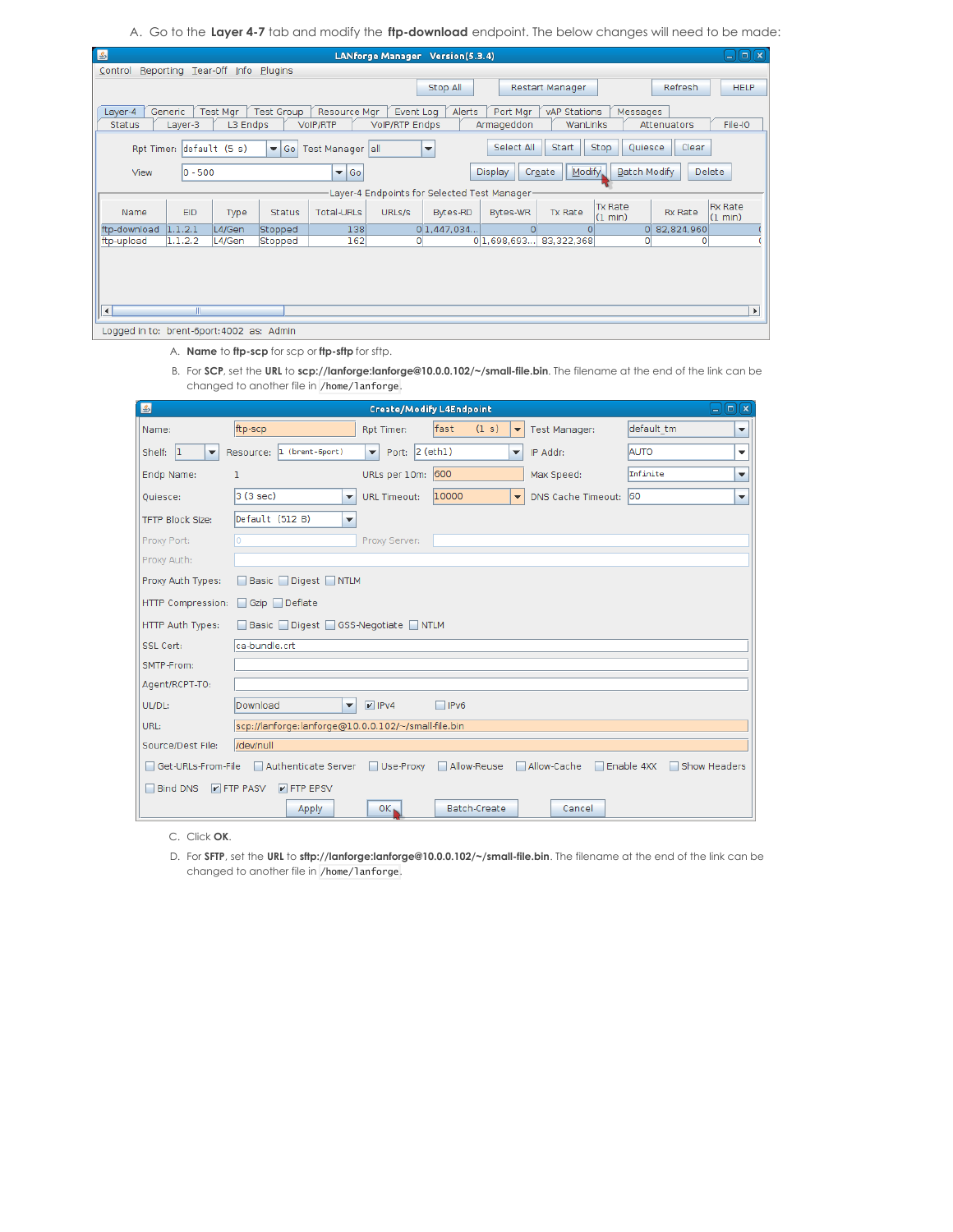A. Go to the **Layer 4-7** tab and modify the **ftp-download** endpoint. The below changes will need to be made:

| 图<br>コ回図<br>LANforge Manager Version(5.3.4)          |                                                                                                                                                                      |                             |                   |                          |                                    |                                             |                        |                          |                                     |                |                           |
|------------------------------------------------------|----------------------------------------------------------------------------------------------------------------------------------------------------------------------|-----------------------------|-------------------|--------------------------|------------------------------------|---------------------------------------------|------------------------|--------------------------|-------------------------------------|----------------|---------------------------|
| Reporting Tear-Off Info<br><b>Plugins</b><br>Control |                                                                                                                                                                      |                             |                   |                          |                                    |                                             |                        |                          |                                     |                |                           |
|                                                      |                                                                                                                                                                      |                             |                   |                          |                                    | Stop All                                    |                        | Restart Manager          |                                     | Refresh        | <b>HELP</b>               |
| Layer-4<br><b>Status</b>                             | Generic<br>Layer-3                                                                                                                                                   | <b>Test Mgr</b><br>L3 Endps | <b>Test Group</b> | Resource Mar<br>VoIP/RTP | Event Log<br><b>VolP/RTP Endps</b> | Alerts                                      | Port Mgr<br>Armageddon | vAP Stations<br>WanLinks | Messages                            | Attenuators    | File-IO                   |
|                                                      | Select All<br><b>Ouiesce</b><br>Clear<br>Start<br><b>Stop</b><br>Rpt Timer: default (5 s)<br>Test Manager all<br>$\blacktriangledown$ Go<br>$\overline{\phantom{a}}$ |                             |                   |                          |                                    |                                             |                        |                          |                                     |                |                           |
| View                                                 | $ 0 - 500$                                                                                                                                                           |                             |                   | $\blacktriangleright$ Go |                                    |                                             | <b>Display</b>         | Modify.<br>Create        | Batch Modify                        |                | Delete                    |
|                                                      |                                                                                                                                                                      |                             |                   |                          |                                    | Layer-4 Endpoints for Selected Test Manager |                        |                          |                                     |                |                           |
| Name                                                 | <b>EID</b>                                                                                                                                                           | Type                        | <b>Status</b>     | <b>Total-URLs</b>        | URLs/s                             | <b>Bytes-RD</b>                             | Bytes-WR               | Tx Rate                  | <b>Tx Rate</b><br>$(1 \text{ min})$ | <b>Rx Rate</b> | <b>Rx Rate</b><br>(1 min) |
| ftp-download                                         | 1.1.2.1                                                                                                                                                              | L4/Gen                      | Stopped           | 138                      |                                    | 0 1,447,034                                 | $\Omega$               | Ω                        | $\Omega$                            | 82,824,960     |                           |
| ftp-upload                                           | 1.1.2.2                                                                                                                                                              | L4/Gen                      | Stopped           | 162                      | $\mathbf{O}$                       |                                             | 0 1,698,693            | 83,322,368               | 0                                   | 0              |                           |
|                                                      |                                                                                                                                                                      |                             |                   |                          |                                    |                                             |                        |                          |                                     |                |                           |
| $\blacktriangleleft$                                 | Ш                                                                                                                                                                    |                             |                   |                          |                                    |                                             |                        |                          |                                     |                | $\blacktriangleright$     |
| Logged in to: brent-6port: 4002 as: Admin            |                                                                                                                                                                      |                             |                   |                          |                                    |                                             |                        |                          |                                     |                |                           |

A. **Name** to **ftp-scp** for scp or **ftp-sftp** for sftp.

B. For **SCP**, set the **URL** to **scp://lanforge:lanforge@10.0.0.102/~/small-file.bin**. The filename at the end of the link can be changed to another file in /home/lanforge.

| $\vert \underline{\mathcal{E}} \vert$    |                                                                                                                    |                                          | <b>Create/Modify L4Endpoint</b> |                          |                       |            | 叵<br>図<br>ا د |  |  |
|------------------------------------------|--------------------------------------------------------------------------------------------------------------------|------------------------------------------|---------------------------------|--------------------------|-----------------------|------------|---------------|--|--|
| Name:                                    | ftp-scp                                                                                                            | Rpt Timer:                               | fast<br>(1 s)                   | $\overline{\phantom{a}}$ | <b>Test Manager:</b>  | default tm | ▼             |  |  |
| 1 <br>Shelf:<br>$\overline{\phantom{a}}$ | 1 (brent-6port)<br>Resource:                                                                                       | Port: $2$ (eth1)<br>$\blacktriangledown$ |                                 | $\overline{\phantom{a}}$ | IP Addr:              | AUTO       | ▼             |  |  |
| Endp Name:                               | ı                                                                                                                  | URLs per 10m: 600                        |                                 |                          | Max Speed:            | Infinite   | ▼             |  |  |
| Ouiesce:                                 | 3 (3 sec)<br>$\overline{\phantom{a}}$                                                                              | <b>URL Timeout:</b>                      | 10000                           | $\blacktriangledown$     | DNS Cache Timeout: 60 |            | ▼             |  |  |
| <b>TFTP Block Size:</b>                  | Default (512 B)<br>$\overline{\phantom{a}}$                                                                        |                                          |                                 |                          |                       |            |               |  |  |
| Proxy Port:                              | n                                                                                                                  | Proxy Server:                            |                                 |                          |                       |            |               |  |  |
| Proxy Auth:                              |                                                                                                                    |                                          |                                 |                          |                       |            |               |  |  |
| Proxy Auth Types:                        | Basic Digest NTLM                                                                                                  |                                          |                                 |                          |                       |            |               |  |  |
| HTTP Compression:                        | Gzip Deflate                                                                                                       |                                          |                                 |                          |                       |            |               |  |  |
| HTTP Auth Types:                         | Basic Digest GSS-Negotiate NTLM                                                                                    |                                          |                                 |                          |                       |            |               |  |  |
| SSL Cert:                                | ca-bundle.crt                                                                                                      |                                          |                                 |                          |                       |            |               |  |  |
| SMTP-From:                               |                                                                                                                    |                                          |                                 |                          |                       |            |               |  |  |
| Agent/RCPT-TO:                           |                                                                                                                    |                                          |                                 |                          |                       |            |               |  |  |
| UL/DL:                                   | Download<br>$\blacktriangledown$                                                                                   | $V$ IPv4                                 | $\Box$ IPv6                     |                          |                       |            |               |  |  |
| URL:                                     | scp://lanforge:lanforge@10.0.0.102/~/small-file.bin                                                                |                                          |                                 |                          |                       |            |               |  |  |
| Source/Dest File:                        | /dev/null                                                                                                          |                                          |                                 |                          |                       |            |               |  |  |
|                                          | Authenticate Server<br>Use-Proxy<br>Allow-Reuse<br>Allow-Cache<br>Enable 4XX<br>Show Headers<br>Get-URLs-From-File |                                          |                                 |                          |                       |            |               |  |  |
| <b>Bind DNS</b>                          | $V$ FTP PASV<br>$V$ FTP EPSV                                                                                       |                                          |                                 |                          |                       |            |               |  |  |
|                                          | Apply                                                                                                              | $OK_{\blacksquare}$                      | <b>Batch-Create</b>             |                          | Cancel                |            |               |  |  |

C. Click **OK**.

D. For **SFTP**, set the **URL** to **sftp://lanforge:lanforge@10.0.0.102/~/small-file.bin**. The filename at the end of the link can be changed to another file in /home/lanforge.